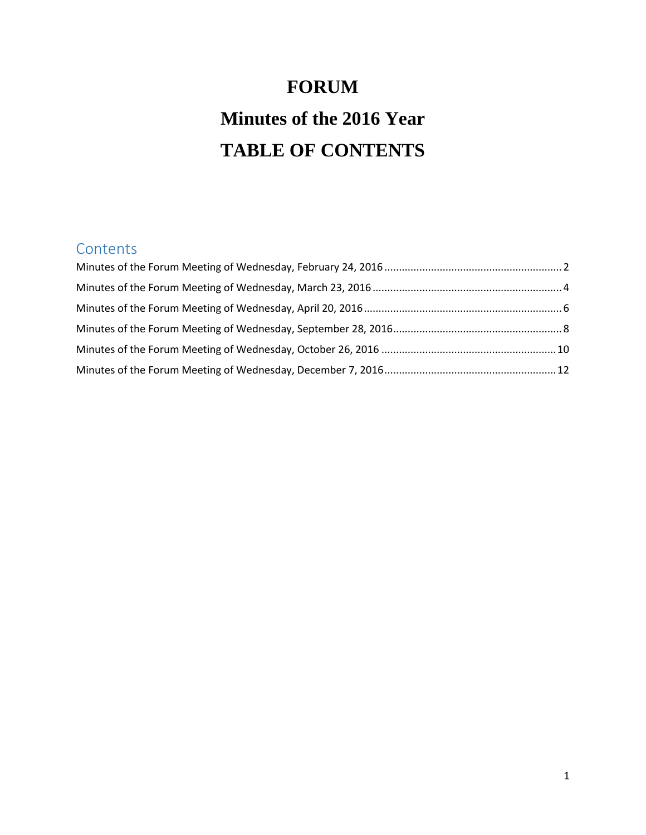# **FORUM Minutes of the 2016 Year TABLE OF CONTENTS**

# **Contents**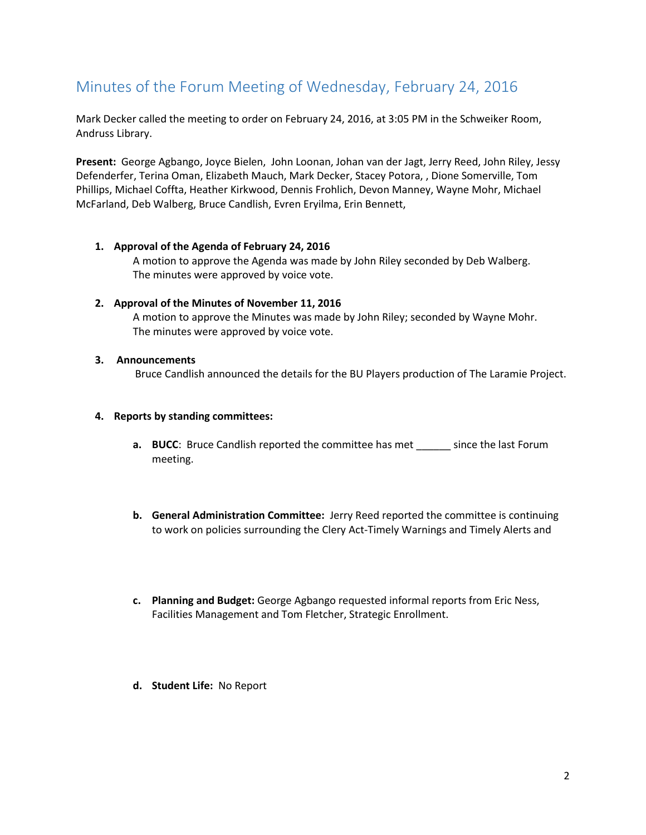# <span id="page-1-0"></span>Minutes of the Forum Meeting of Wednesday, February 24, 2016

Mark Decker called the meeting to order on February 24, 2016, at 3:05 PM in the Schweiker Room, Andruss Library.

**Present:** George Agbango, Joyce Bielen, John Loonan, Johan van der Jagt, Jerry Reed, John Riley, Jessy Defenderfer, Terina Oman, Elizabeth Mauch, Mark Decker, Stacey Potora, , Dione Somerville, Tom Phillips, Michael Coffta, Heather Kirkwood, Dennis Frohlich, Devon Manney, Wayne Mohr, Michael McFarland, Deb Walberg, Bruce Candlish, Evren Eryilma, Erin Bennett,

- **1. Approval of the Agenda of February 24, 2016** A motion to approve the Agenda was made by John Riley seconded by Deb Walberg. The minutes were approved by voice vote.
- **2. Approval of the Minutes of November 11, 2016** A motion to approve the Minutes was made by John Riley; seconded by Wayne Mohr. The minutes were approved by voice vote.
- **3. Announcements**

Bruce Candlish announced the details for the BU Players production of The Laramie Project.

#### **4. Reports by standing committees:**

- **a. BUCC**: Bruce Candlish reported the committee has met since the last Forum meeting.
- **b. General Administration Committee:** Jerry Reed reported the committee is continuing to work on policies surrounding the Clery Act-Timely Warnings and Timely Alerts and
- **c. Planning and Budget:** George Agbango requested informal reports from Eric Ness, Facilities Management and Tom Fletcher, Strategic Enrollment.
- **d. Student Life:** No Report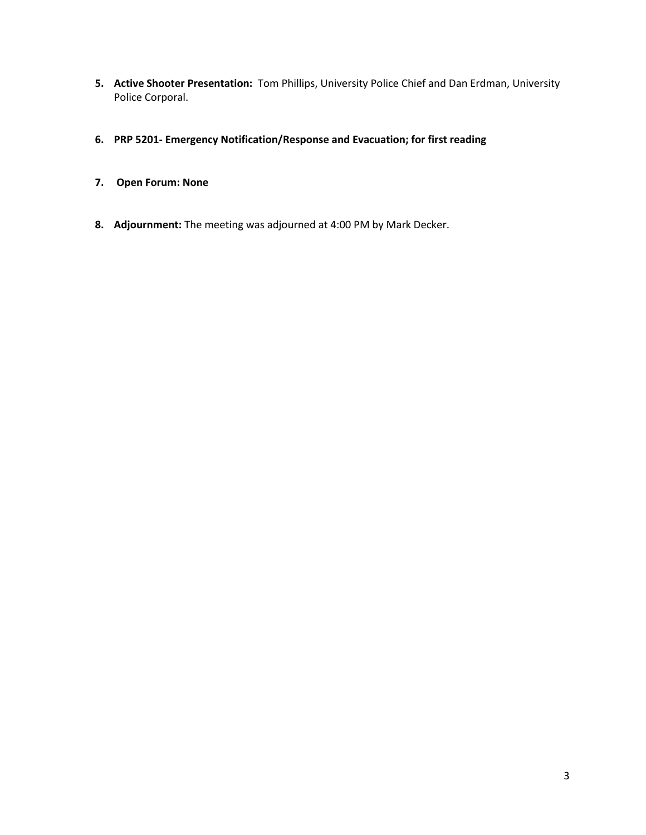- **5. Active Shooter Presentation:** Tom Phillips, University Police Chief and Dan Erdman, University Police Corporal.
- **6. PRP 5201- Emergency Notification/Response and Evacuation; for first reading**
- **7. Open Forum: None**
- **8. Adjournment:** The meeting was adjourned at 4:00 PM by Mark Decker.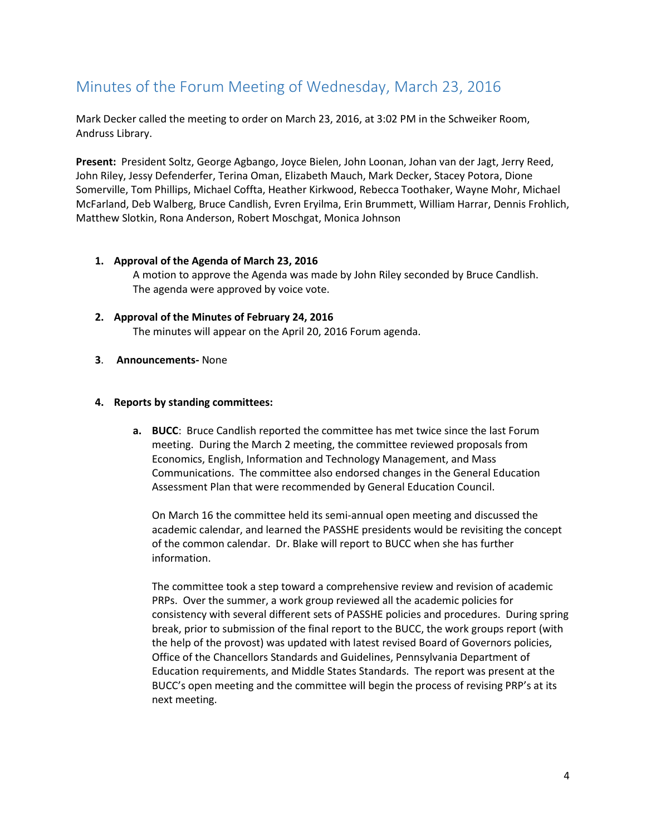# <span id="page-3-0"></span>Minutes of the Forum Meeting of Wednesday, March 23, 2016

Mark Decker called the meeting to order on March 23, 2016, at 3:02 PM in the Schweiker Room, Andruss Library.

**Present:** President Soltz, George Agbango, Joyce Bielen, John Loonan, Johan van der Jagt, Jerry Reed, John Riley, Jessy Defenderfer, Terina Oman, Elizabeth Mauch, Mark Decker, Stacey Potora, Dione Somerville, Tom Phillips, Michael Coffta, Heather Kirkwood, Rebecca Toothaker, Wayne Mohr, Michael McFarland, Deb Walberg, Bruce Candlish, Evren Eryilma, Erin Brummett, William Harrar, Dennis Frohlich, Matthew Slotkin, Rona Anderson, Robert Moschgat, Monica Johnson

### **1. Approval of the Agenda of March 23, 2016** A motion to approve the Agenda was made by John Riley seconded by Bruce Candlish. The agenda were approved by voice vote.

- **2. Approval of the Minutes of February 24, 2016** The minutes will appear on the April 20, 2016 Forum agenda.
- **3**. **Announcements-** None

### **4. Reports by standing committees:**

**a. BUCC**: Bruce Candlish reported the committee has met twice since the last Forum meeting. During the March 2 meeting, the committee reviewed proposals from Economics, English, Information and Technology Management, and Mass Communications. The committee also endorsed changes in the General Education Assessment Plan that were recommended by General Education Council.

On March 16 the committee held its semi-annual open meeting and discussed the academic calendar, and learned the PASSHE presidents would be revisiting the concept of the common calendar. Dr. Blake will report to BUCC when she has further information.

The committee took a step toward a comprehensive review and revision of academic PRPs. Over the summer, a work group reviewed all the academic policies for consistency with several different sets of PASSHE policies and procedures. During spring break, prior to submission of the final report to the BUCC, the work groups report (with the help of the provost) was updated with latest revised Board of Governors policies, Office of the Chancellors Standards and Guidelines, Pennsylvania Department of Education requirements, and Middle States Standards. The report was present at the BUCC's open meeting and the committee will begin the process of revising PRP's at its next meeting.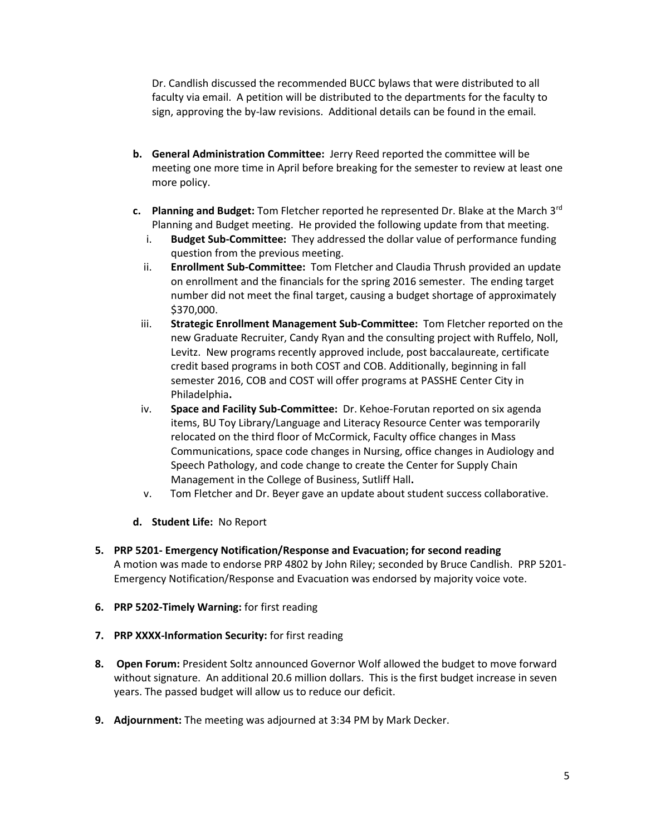Dr. Candlish discussed the recommended BUCC bylaws that were distributed to all faculty via email. A petition will be distributed to the departments for the faculty to sign, approving the by-law revisions. Additional details can be found in the email.

- **b. General Administration Committee:** Jerry Reed reported the committee will be meeting one more time in April before breaking for the semester to review at least one more policy.
- **c. Planning and Budget:** Tom Fletcher reported he represented Dr. Blake at the March 3rd Planning and Budget meeting. He provided the following update from that meeting.
	- i. **Budget Sub-Committee:** They addressed the dollar value of performance funding question from the previous meeting.
	- ii. **Enrollment Sub-Committee:** Tom Fletcher and Claudia Thrush provided an update on enrollment and the financials for the spring 2016 semester. The ending target number did not meet the final target, causing a budget shortage of approximately \$370,000.
	- iii. **Strategic Enrollment Management Sub-Committee:** Tom Fletcher reported on the new Graduate Recruiter, Candy Ryan and the consulting project with Ruffelo, Noll, Levitz. New programs recently approved include, post baccalaureate, certificate credit based programs in both COST and COB. Additionally, beginning in fall semester 2016, COB and COST will offer programs at PASSHE Center City in Philadelphia**.**
	- iv. **Space and Facility Sub-Committee:** Dr. Kehoe-Forutan reported on six agenda items, BU Toy Library/Language and Literacy Resource Center was temporarily relocated on the third floor of McCormick, Faculty office changes in Mass Communications, space code changes in Nursing, office changes in Audiology and Speech Pathology, and code change to create the Center for Supply Chain Management in the College of Business, Sutliff Hall**.**
	- v. Tom Fletcher and Dr. Beyer gave an update about student success collaborative.
- **d. Student Life:** No Report
- **5. PRP 5201- Emergency Notification/Response and Evacuation; for second reading** A motion was made to endorse PRP 4802 by John Riley; seconded by Bruce Candlish. PRP 5201- Emergency Notification/Response and Evacuation was endorsed by majority voice vote.
- **6. PRP 5202-Timely Warning:** for first reading
- **7. PRP XXXX-Information Security:** for first reading
- **8. Open Forum:** President Soltz announced Governor Wolf allowed the budget to move forward without signature. An additional 20.6 million dollars. This is the first budget increase in seven years. The passed budget will allow us to reduce our deficit.
- **9. Adjournment:** The meeting was adjourned at 3:34 PM by Mark Decker.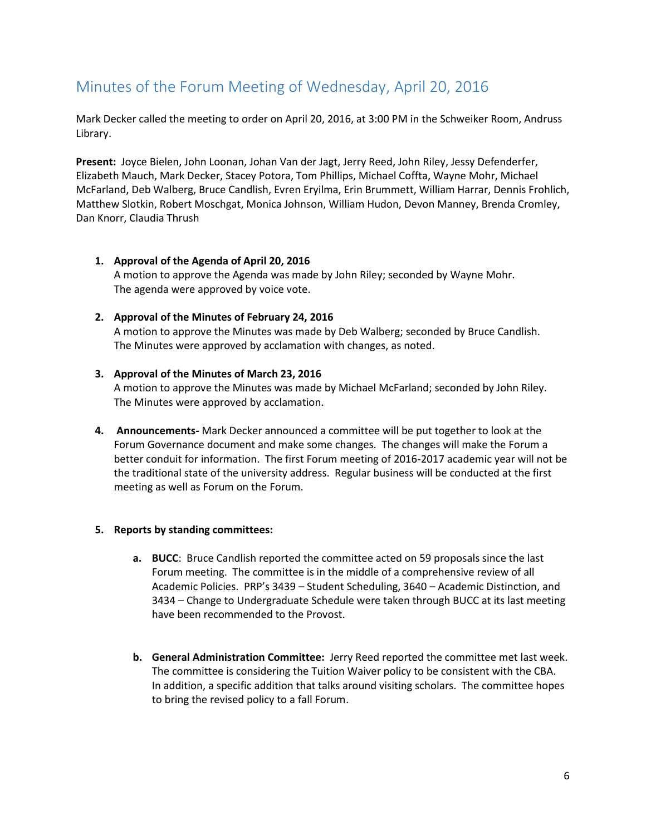# <span id="page-5-0"></span>Minutes of the Forum Meeting of Wednesday, April 20, 2016

Mark Decker called the meeting to order on April 20, 2016, at 3:00 PM in the Schweiker Room, Andruss Library.

**Present:** Joyce Bielen, John Loonan, Johan Van der Jagt, Jerry Reed, John Riley, Jessy Defenderfer, Elizabeth Mauch, Mark Decker, Stacey Potora, Tom Phillips, Michael Coffta, Wayne Mohr, Michael McFarland, Deb Walberg, Bruce Candlish, Evren Eryilma, Erin Brummett, William Harrar, Dennis Frohlich, Matthew Slotkin, Robert Moschgat, Monica Johnson, William Hudon, Devon Manney, Brenda Cromley, Dan Knorr, Claudia Thrush

**1. Approval of the Agenda of April 20, 2016** A motion to approve the Agenda was made by John Riley; seconded by Wayne Mohr. The agenda were approved by voice vote.

### **2. Approval of the Minutes of February 24, 2016**

A motion to approve the Minutes was made by Deb Walberg; seconded by Bruce Candlish. The Minutes were approved by acclamation with changes, as noted.

#### **3. Approval of the Minutes of March 23, 2016**

A motion to approve the Minutes was made by Michael McFarland; seconded by John Riley. The Minutes were approved by acclamation.

**4. Announcements-** Mark Decker announced a committee will be put together to look at the Forum Governance document and make some changes. The changes will make the Forum a better conduit for information. The first Forum meeting of 2016-2017 academic year will not be the traditional state of the university address. Regular business will be conducted at the first meeting as well as Forum on the Forum.

### **5. Reports by standing committees:**

- **a. BUCC**: Bruce Candlish reported the committee acted on 59 proposals since the last Forum meeting. The committee is in the middle of a comprehensive review of all Academic Policies. PRP's 3439 – Student Scheduling, 3640 – Academic Distinction, and 3434 – Change to Undergraduate Schedule were taken through BUCC at its last meeting have been recommended to the Provost.
- **b. General Administration Committee:** Jerry Reed reported the committee met last week. The committee is considering the Tuition Waiver policy to be consistent with the CBA. In addition, a specific addition that talks around visiting scholars. The committee hopes to bring the revised policy to a fall Forum.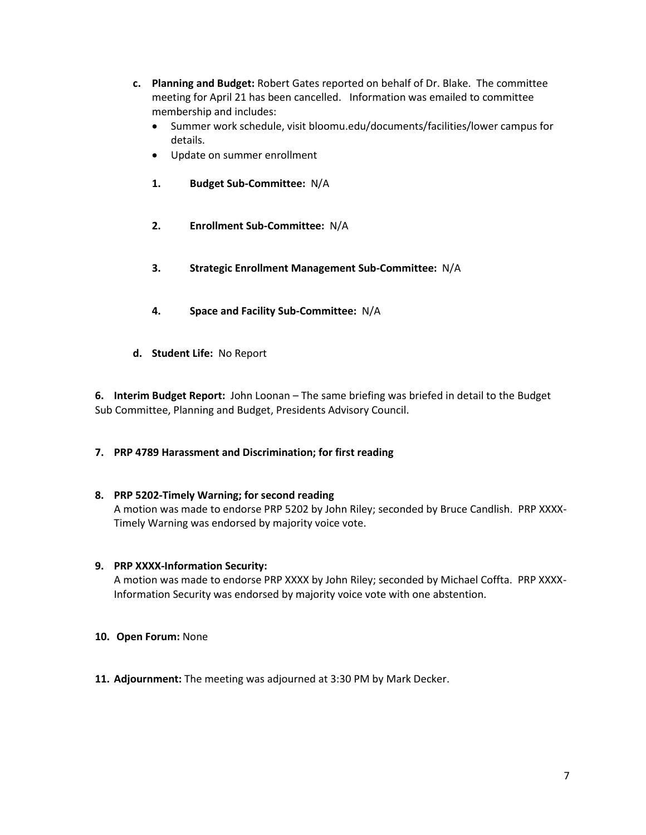- **c. Planning and Budget:** Robert Gates reported on behalf of Dr. Blake. The committee meeting for April 21 has been cancelled. Information was emailed to committee membership and includes:
	- Summer work schedule, visit bloomu.edu/documents/facilities/lower campus for details.
	- Update on summer enrollment
	- **1. Budget Sub-Committee:** N/A
	- **2. Enrollment Sub-Committee:** N/A
	- **3. Strategic Enrollment Management Sub-Committee:** N/A
	- **4. Space and Facility Sub-Committee:** N/A
- **d. Student Life:** No Report

**6. Interim Budget Report:** John Loonan – The same briefing was briefed in detail to the Budget Sub Committee, Planning and Budget, Presidents Advisory Council.

### **7. PRP 4789 Harassment and Discrimination; for first reading**

### **8. PRP 5202-Timely Warning; for second reading**

A motion was made to endorse PRP 5202 by John Riley; seconded by Bruce Candlish. PRP XXXX-Timely Warning was endorsed by majority voice vote.

### **9. PRP XXXX-Information Security:**

A motion was made to endorse PRP XXXX by John Riley; seconded by Michael Coffta. PRP XXXX-Information Security was endorsed by majority voice vote with one abstention.

- **10. Open Forum:** None
- **11. Adjournment:** The meeting was adjourned at 3:30 PM by Mark Decker.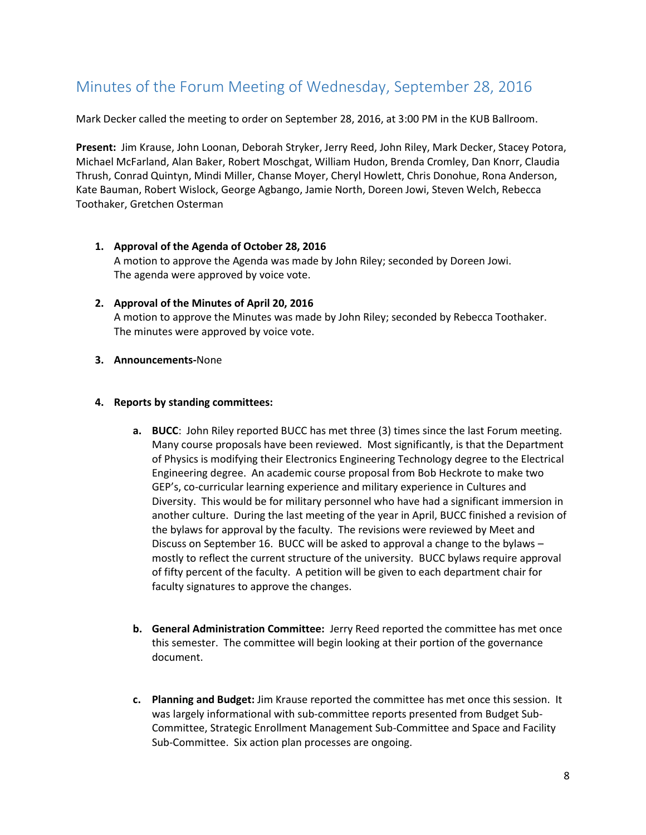# <span id="page-7-0"></span>Minutes of the Forum Meeting of Wednesday, September 28, 2016

Mark Decker called the meeting to order on September 28, 2016, at 3:00 PM in the KUB Ballroom.

**Present:** Jim Krause, John Loonan, Deborah Stryker, Jerry Reed, John Riley, Mark Decker, Stacey Potora, Michael McFarland, Alan Baker, Robert Moschgat, William Hudon, Brenda Cromley, Dan Knorr, Claudia Thrush, Conrad Quintyn, Mindi Miller, Chanse Moyer, Cheryl Howlett, Chris Donohue, Rona Anderson, Kate Bauman, Robert Wislock, George Agbango, Jamie North, Doreen Jowi, Steven Welch, Rebecca Toothaker, Gretchen Osterman

- **1. Approval of the Agenda of October 28, 2016** A motion to approve the Agenda was made by John Riley; seconded by Doreen Jowi. The agenda were approved by voice vote.
- **2. Approval of the Minutes of April 20, 2016** A motion to approve the Minutes was made by John Riley; seconded by Rebecca Toothaker. The minutes were approved by voice vote.
- **3. Announcements-**None

#### **4. Reports by standing committees:**

- **a. BUCC**: John Riley reported BUCC has met three (3) times since the last Forum meeting. Many course proposals have been reviewed. Most significantly, is that the Department of Physics is modifying their Electronics Engineering Technology degree to the Electrical Engineering degree. An academic course proposal from Bob Heckrote to make two GEP's, co-curricular learning experience and military experience in Cultures and Diversity. This would be for military personnel who have had a significant immersion in another culture. During the last meeting of the year in April, BUCC finished a revision of the bylaws for approval by the faculty. The revisions were reviewed by Meet and Discuss on September 16. BUCC will be asked to approval a change to the bylaws – mostly to reflect the current structure of the university. BUCC bylaws require approval of fifty percent of the faculty. A petition will be given to each department chair for faculty signatures to approve the changes.
- **b. General Administration Committee:** Jerry Reed reported the committee has met once this semester. The committee will begin looking at their portion of the governance document.
- **c. Planning and Budget:** Jim Krause reported the committee has met once this session. It was largely informational with sub-committee reports presented from Budget Sub-Committee, Strategic Enrollment Management Sub-Committee and Space and Facility Sub-Committee. Six action plan processes are ongoing.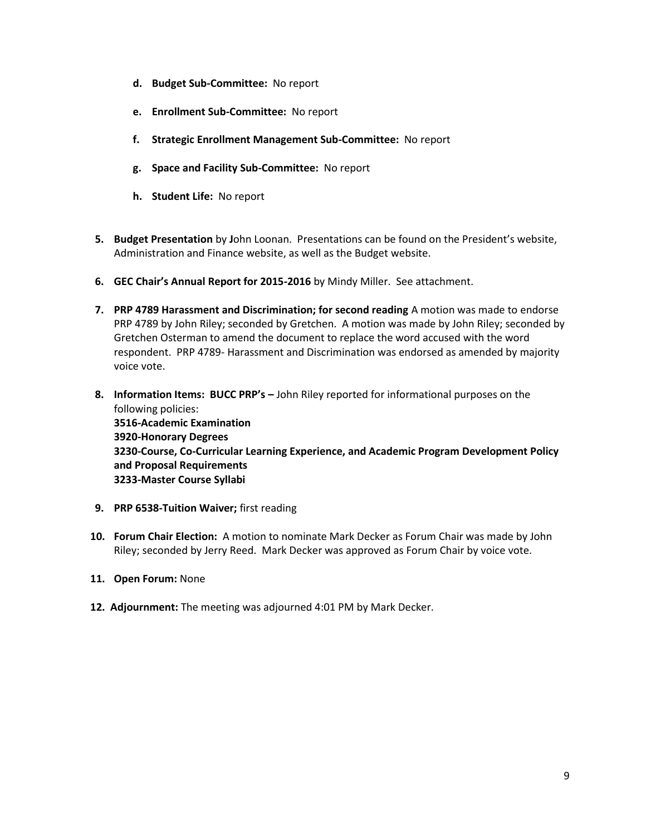- **d. Budget Sub-Committee:** No report
- **e. Enrollment Sub-Committee:** No report
- **f. Strategic Enrollment Management Sub-Committee:** No report
- **g. Space and Facility Sub-Committee:** No report
- **h. Student Life:** No report
- **5. Budget Presentation** by **J**ohn Loonan. Presentations can be found on the President's website, Administration and Finance website, as well as the Budget website.
- **6. GEC Chair's Annual Report for 2015-2016** by Mindy Miller. See attachment.
- **7. PRP 4789 Harassment and Discrimination; for second reading** A motion was made to endorse PRP 4789 by John Riley; seconded by Gretchen. A motion was made by John Riley; seconded by Gretchen Osterman to amend the document to replace the word accused with the word respondent. PRP 4789- Harassment and Discrimination was endorsed as amended by majority voice vote.
- **8. Information Items: BUCC PRP's –** John Riley reported for informational purposes on the following policies: **3516-Academic Examination 3920-Honorary Degrees 3230-Course, Co-Curricular Learning Experience, and Academic Program Development Policy and Proposal Requirements 3233-Master Course Syllabi**
- **9. PRP 6538-Tuition Waiver;** first reading
- **10. Forum Chair Election:** A motion to nominate Mark Decker as Forum Chair was made by John Riley; seconded by Jerry Reed. Mark Decker was approved as Forum Chair by voice vote.
- **11. Open Forum:** None
- **12. Adjournment:** The meeting was adjourned 4:01 PM by Mark Decker.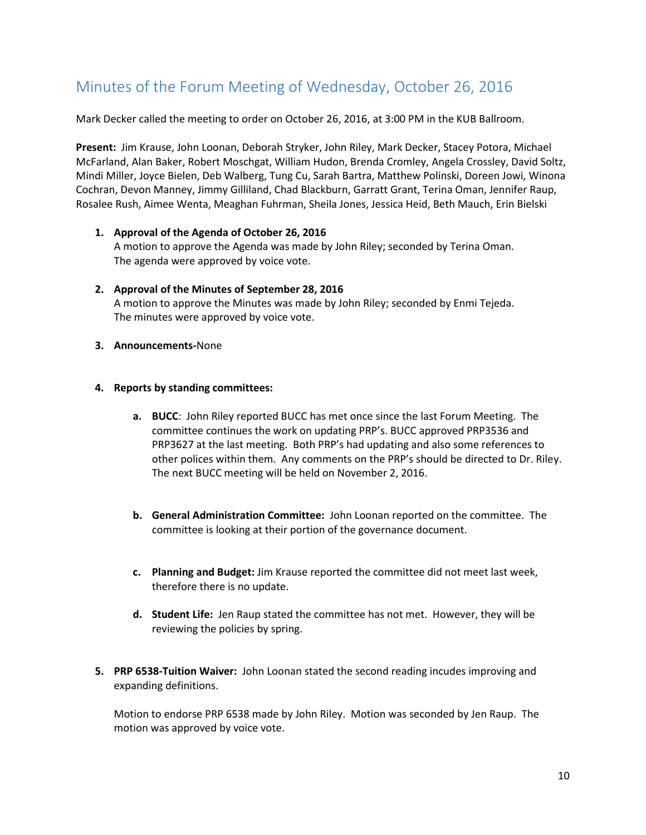# <span id="page-9-0"></span>Minutes of the Forum Meeting of Wednesday, October 26, 2016

Mark Decker called the meeting to order on October 26, 2016, at 3:00 PM in the KUB Ballroom.

**Present:** Jim Krause, John Loonan, Deborah Stryker, John Riley, Mark Decker, Stacey Potora, Michael McFarland, Alan Baker, Robert Moschgat, William Hudon, Brenda Cromley, Angela Crossley, David Soltz, Mindi Miller, Joyce Bielen, Deb Walberg, Tung Cu, Sarah Bartra, Matthew Polinski, Doreen Jowi, Winona Cochran, Devon Manney, Jimmy Gilliland, Chad Blackburn, Garratt Grant, Terina Oman, Jennifer Raup, Rosalee Rush, Aimee Wenta, Meaghan Fuhrman, Sheila Jones, Jessica Heid, Beth Mauch, Erin Bielski

- **1. Approval of the Agenda of October 26, 2016** A motion to approve the Agenda was made by John Riley; seconded by Terina Oman. The agenda were approved by voice vote.
- **2. Approval of the Minutes of September 28, 2016** A motion to approve the Minutes was made by John Riley; seconded by Enmi Tejeda. The minutes were approved by voice vote.
- **3. Announcements-**None
- **4. Reports by standing committees:**
	- **a. BUCC**: John Riley reported BUCC has met once since the last Forum Meeting. The committee continues the work on updating PRP's. BUCC approved PRP3536 and PRP3627 at the last meeting. Both PRP's had updating and also some references to other polices within them. Any comments on the PRP's should be directed to Dr. Riley. The next BUCC meeting will be held on November 2, 2016.
	- **b. General Administration Committee:** John Loonan reported on the committee. The committee is looking at their portion of the governance document.
	- **c. Planning and Budget:** Jim Krause reported the committee did not meet last week, therefore there is no update.
	- **d. Student Life:** Jen Raup stated the committee has not met. However, they will be reviewing the policies by spring.
- **5. PRP 6538-Tuition Waiver:** John Loonan stated the second reading incudes improving and expanding definitions.

Motion to endorse PRP 6538 made by John Riley. Motion was seconded by Jen Raup. The motion was approved by voice vote.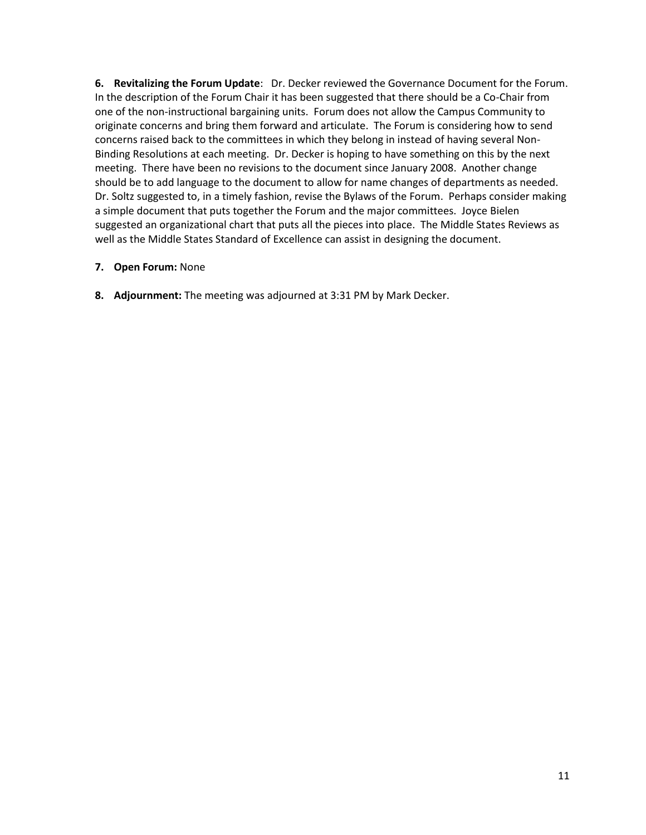**6. Revitalizing the Forum Update**: Dr. Decker reviewed the Governance Document for the Forum. In the description of the Forum Chair it has been suggested that there should be a Co-Chair from one of the non-instructional bargaining units. Forum does not allow the Campus Community to originate concerns and bring them forward and articulate. The Forum is considering how to send concerns raised back to the committees in which they belong in instead of having several Non-Binding Resolutions at each meeting. Dr. Decker is hoping to have something on this by the next meeting. There have been no revisions to the document since January 2008. Another change should be to add language to the document to allow for name changes of departments as needed. Dr. Soltz suggested to, in a timely fashion, revise the Bylaws of the Forum. Perhaps consider making a simple document that puts together the Forum and the major committees. Joyce Bielen suggested an organizational chart that puts all the pieces into place. The Middle States Reviews as well as the Middle States Standard of Excellence can assist in designing the document.

### **7. Open Forum:** None

**8. Adjournment:** The meeting was adjourned at 3:31 PM by Mark Decker.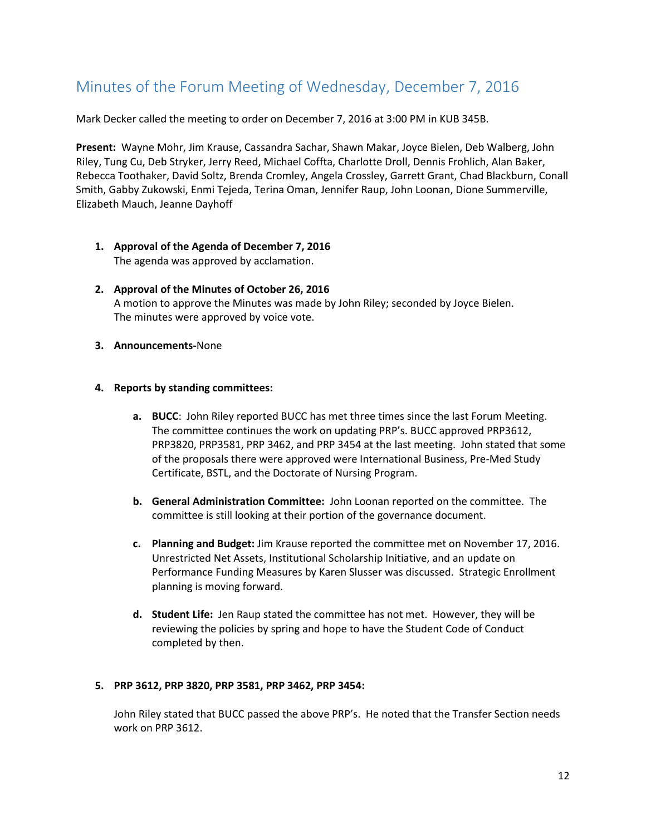# <span id="page-11-0"></span>Minutes of the Forum Meeting of Wednesday, December 7, 2016

Mark Decker called the meeting to order on December 7, 2016 at 3:00 PM in KUB 345B.

**Present:** Wayne Mohr, Jim Krause, Cassandra Sachar, Shawn Makar, Joyce Bielen, Deb Walberg, John Riley, Tung Cu, Deb Stryker, Jerry Reed, Michael Coffta, Charlotte Droll, Dennis Frohlich, Alan Baker, Rebecca Toothaker, David Soltz, Brenda Cromley, Angela Crossley, Garrett Grant, Chad Blackburn, Conall Smith, Gabby Zukowski, Enmi Tejeda, Terina Oman, Jennifer Raup, John Loonan, Dione Summerville, Elizabeth Mauch, Jeanne Dayhoff

- **1. Approval of the Agenda of December 7, 2016** The agenda was approved by acclamation.
- **2. Approval of the Minutes of October 26, 2016** A motion to approve the Minutes was made by John Riley; seconded by Joyce Bielen. The minutes were approved by voice vote.
- **3. Announcements-**None
- **4. Reports by standing committees:**
	- **a. BUCC**: John Riley reported BUCC has met three times since the last Forum Meeting. The committee continues the work on updating PRP's. BUCC approved PRP3612, PRP3820, PRP3581, PRP 3462, and PRP 3454 at the last meeting. John stated that some of the proposals there were approved were International Business, Pre-Med Study Certificate, BSTL, and the Doctorate of Nursing Program.
	- **b. General Administration Committee:** John Loonan reported on the committee. The committee is still looking at their portion of the governance document.
	- **c. Planning and Budget:** Jim Krause reported the committee met on November 17, 2016. Unrestricted Net Assets, Institutional Scholarship Initiative, and an update on Performance Funding Measures by Karen Slusser was discussed. Strategic Enrollment planning is moving forward.
	- **d. Student Life:** Jen Raup stated the committee has not met. However, they will be reviewing the policies by spring and hope to have the Student Code of Conduct completed by then.

#### **5. PRP 3612, PRP 3820, PRP 3581, PRP 3462, PRP 3454:**

John Riley stated that BUCC passed the above PRP's. He noted that the Transfer Section needs work on PRP 3612.